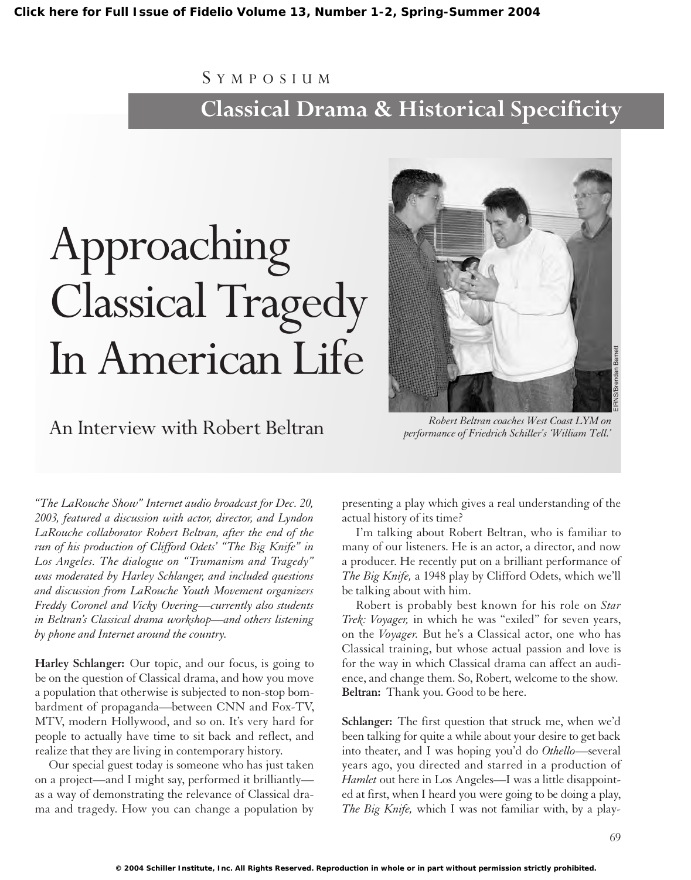## S YMPOSIUM

# **Classical Drama & Historical Specificity**

# Approaching Classical Tragedy In American Life

An Interview with Robert Beltran *Robert Beltran coaches West Coast LYM on performance of Friedrich Schiller's 'William Tell.'* EIRNS/Brendan Barnett

*"The LaRouche Show" Internet audio broadcast for Dec. 20, 2003, featured a discussion with actor, director, and Lyndon LaRouche collaborator Robert Beltran, after the end of the run of his production of Clifford Odets' "The Big Knife" in Los Angeles. The dialogue on "Trumanism and Tragedy" was moderated by Harley Schlanger, and included questions and discussion from LaRouche Youth Movement organizers Freddy Coronel and Vicky Overing—currently also students in Beltran's Classical drama workshop—and others listening by phone and Internet around the country.*

**Harley Schlanger:** Our topic, and our focus, is going to be on the question of Classical drama, and how you move a population that otherwise is subjected to non-stop bombardment of propaganda—between CNN and Fox-TV, MTV, modern Hollywood, and so on. It's very hard for people to actually have time to sit back and reflect, and realize that they are living in contemporary history.

Our special guest today is someone who has just taken on a project—and I might say, performed it brilliantly as a way of demonstrating the relevance of Classical drama and tragedy. How you can change a population by

presenting a play which gives a real understanding of the actual history of its time?

I'm talking about Robert Beltran, who is familiar to many of our listeners. He is an actor, a director, and now a producer. He recently put on a brilliant performance of *The Big Knife,* a 1948 play by Clifford Odets, which we'll be talking about with him.

Robert is probably best known for his role on *Star Trek: Voyager,* in which he was "exiled" for seven years, on the *Voyager.* But he's a Classical actor, one who has Classical training, but whose actual passion and love is for the way in which Classical drama can affect an audience, and change them. So, Robert, welcome to the show. **Beltran:** Thank you. Good to be here.

**Schlanger:** The first question that struck me, when we'd been talking for quite a while about your desire to get back into theater, and I was hoping you'd do *Othello*—several years ago, you directed and starred in a production of *Hamlet* out here in Los Angeles—I was a little disappointed at first, when I heard you were going to be doing a play, *The Big Knife,* which I was not familiar with, by a play-

**© 2004 Schiller Institute, Inc. All Rights Reserved. Reproduction in whole or in part without permission strictly prohibited.**

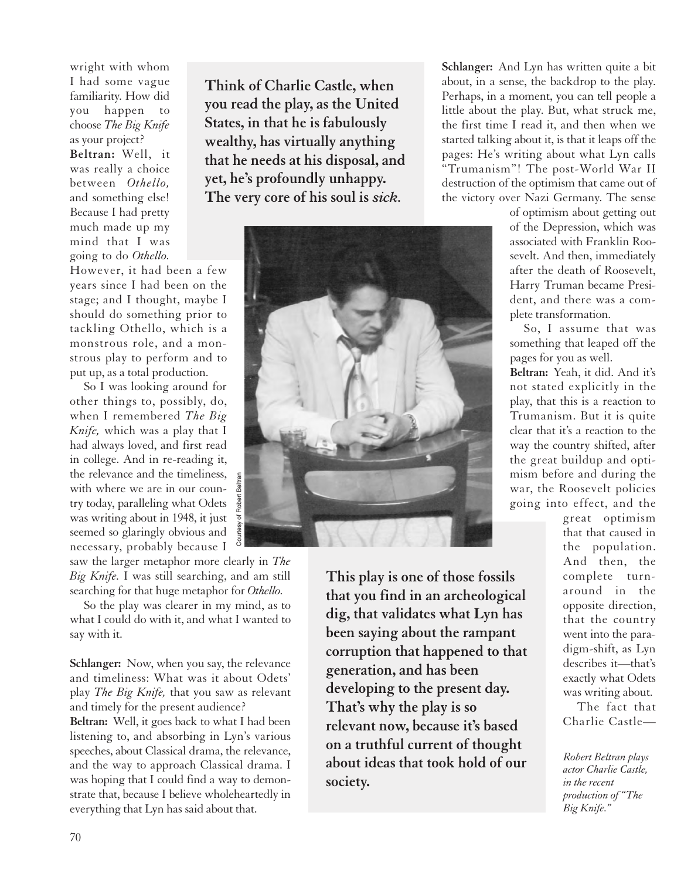wright with whom I had some vague familiarity. How did you happen to choose *The Big Knife* as your project? **Beltran:** Well, it was really a choice between *Othello,* and something else! Because I had pretty much made up my mind that I was going to do *Othello.*

However, it had been a few years since I had been on the stage; and I thought, maybe I should do something prior to tackling Othello, which is a monstrous role, and a monstrous play to perform and to put up, as a total production.

So I was looking around for other things to, possibly, do, when I remembered *The Big Knife,* which was a play that I had always loved, and first read in college. And in re-reading it, the relevance and the timeliness, with where we are in our country today, paralleling what Odets was writing about in 1948, it just seemed so glaringly obvious and necessary, probably because I

saw the larger metaphor more clearly in *The Big Knife.* I was still searching, and am still searching for that huge metaphor for *Othello.*

So the play was clearer in my mind, as to what I could do with it, and what I wanted to say with it.

**Schlanger:** Now, when you say, the relevance and timeliness: What was it about Odets' play *The Big Knife,* that you saw as relevant and timely for the present audience?

**Beltran:** Well, it goes back to what I had been listening to, and absorbing in Lyn's various speeches, about Classical drama, the relevance, and the way to approach Classical drama. I was hoping that I could find a way to demonstrate that, because I believe wholeheartedly in everything that Lyn has said about that.

**Think of Charlie Castle, when you read the play, as the United States, in that he is fabulously wealthy, has virtually anything that he needs at his disposal, and yet, he's profoundly unhappy. The very core of his soul is** *sick.*



**This play is one of those fossils that you find in an archeological dig, that validates what Lyn has been saying about the rampant corruption that happened to that generation, and has been developing to the present day. That's why the play is so relevant now, because it's based on a truthful current of thought about ideas that took hold of our society.**

**Schlanger:** And Lyn has written quite a bit about, in a sense, the backdrop to the play. Perhaps, in a moment, you can tell people a little about the play. But, what struck me, the first time I read it, and then when we started talking about it, is that it leaps off the pages: He's writing about what Lyn calls "Trumanism"! The post-World War II destruction of the optimism that came out of the victory over Nazi Germany. The sense

> of optimism about getting out of the Depression, which was associated with Franklin Roosevelt. And then, immediately after the death of Roosevelt, Harry Truman became President, and there was a complete transformation.

So, I assume that was something that leaped off the pages for you as well.

**Beltran:** Yeah, it did. And it's not stated explicitly in the play, that this is a reaction to Trumanism. But it is quite clear that it's a reaction to the way the country shifted, after the great buildup and optimism before and during the war, the Roosevelt policies going into effect, and the

great optimism that that caused in the population. And then, the complete turnaround in the opposite direction, that the country went into the paradigm-shift, as Lyn describes it—that's exactly what Odets was writing about.

The fact that Charlie Castle—

*Robert Beltran plays actor Charlie Castle, in the recent production of "The Big Knife."*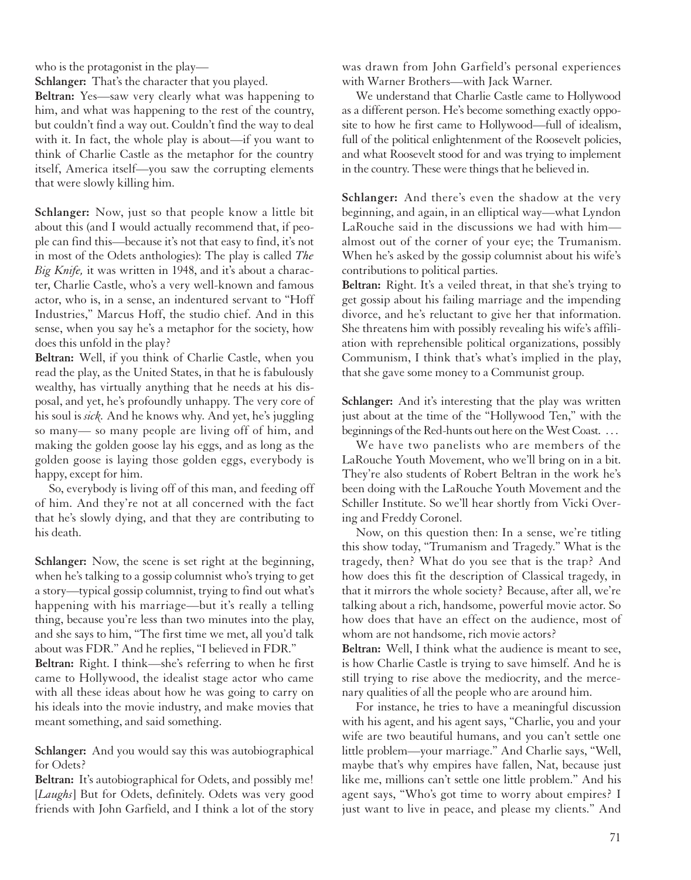who is the protagonist in the play—

**Schlanger:** That's the character that you played.

**Beltran:** Yes—saw very clearly what was happening to him, and what was happening to the rest of the country, but couldn't find a way out. Couldn't find the way to deal with it. In fact, the whole play is about—if you want to think of Charlie Castle as the metaphor for the country itself, America itself—you saw the corrupting elements that were slowly killing him.

**Schlanger:** Now, just so that people know a little bit about this (and I would actually recommend that, if people can find this—because it's not that easy to find, it's not in most of the Odets anthologies): The play is called *The Big Knife,* it was written in 1948, and it's about a character, Charlie Castle, who's a very well-known and famous actor, who is, in a sense, an indentured servant to "Hoff Industries," Marcus Hoff, the studio chief. And in this sense, when you say he's a metaphor for the society, how does this unfold in the play?

**Beltran:** Well, if you think of Charlie Castle, when you read the play, as the United States, in that he is fabulously wealthy, has virtually anything that he needs at his disposal, and yet, he's profoundly unhappy. The very core of his soul is *sick.* And he knows why. And yet, he's juggling so many— so many people are living off of him, and making the golden goose lay his eggs, and as long as the golden goose is laying those golden eggs, everybody is happy, except for him.

So, everybody is living off of this man, and feeding off of him. And they're not at all concerned with the fact that he's slowly dying, and that they are contributing to his death.

**Schlanger:** Now, the scene is set right at the beginning, when he's talking to a gossip columnist who's trying to get a story—typical gossip columnist, trying to find out what's happening with his marriage—but it's really a telling thing, because you're less than two minutes into the play, and she says to him, "The first time we met, all you'd talk about was FDR." And he replies, "I believed in FDR."

**Beltran:** Right. I think—she's referring to when he first came to Hollywood, the idealist stage actor who came with all these ideas about how he was going to carry on his ideals into the movie industry, and make movies that meant something, and said something.

**Schlanger:** And you would say this was autobiographical for Odets?

**Beltran:** It's autobiographical for Odets, and possibly me! [*Laughs*] But for Odets, definitely. Odets was very good friends with John Garfield, and I think a lot of the story

was drawn from John Garfield's personal experiences with Warner Brothers—with Jack Warner.

We understand that Charlie Castle came to Hollywood as a different person. He's become something exactly opposite to how he first came to Hollywood—full of idealism, full of the political enlightenment of the Roosevelt policies, and what Roosevelt stood for and was trying to implement in the country. These were things that he believed in.

**Schlanger:** And there's even the shadow at the very beginning, and again, in an elliptical way—what Lyndon LaRouche said in the discussions we had with him almost out of the corner of your eye; the Trumanism. When he's asked by the gossip columnist about his wife's contributions to political parties.

**Beltran:** Right. It's a veiled threat, in that she's trying to get gossip about his failing marriage and the impending divorce, and he's reluctant to give her that information. She threatens him with possibly revealing his wife's affiliation with reprehensible political organizations, possibly Communism, I think that's what's implied in the play, that she gave some money to a Communist group.

**Schlanger:** And it's interesting that the play was written just about at the time of the "Hollywood Ten," with the beginnings of the Red-hunts out here on the West Coast. . . .

We have two panelists who are members of the LaRouche Youth Movement, who we'll bring on in a bit. They're also students of Robert Beltran in the work he's been doing with the LaRouche Youth Movement and the Schiller Institute. So we'll hear shortly from Vicki Overing and Freddy Coronel.

Now, on this question then: In a sense, we're titling this show today, "Trumanism and Tragedy." What is the tragedy, then? What do you see that is the trap? And how does this fit the description of Classical tragedy, in that it mirrors the whole society? Because, after all, we're talking about a rich, handsome, powerful movie actor. So how does that have an effect on the audience, most of whom are not handsome, rich movie actors?

**Beltran:** Well, I think what the audience is meant to see, is how Charlie Castle is trying to save himself. And he is still trying to rise above the mediocrity, and the mercenary qualities of all the people who are around him.

For instance, he tries to have a meaningful discussion with his agent, and his agent says, "Charlie, you and your wife are two beautiful humans, and you can't settle one little problem—your marriage." And Charlie says, "Well, maybe that's why empires have fallen, Nat, because just like me, millions can't settle one little problem." And his agent says, "Who's got time to worry about empires? I just want to live in peace, and please my clients." And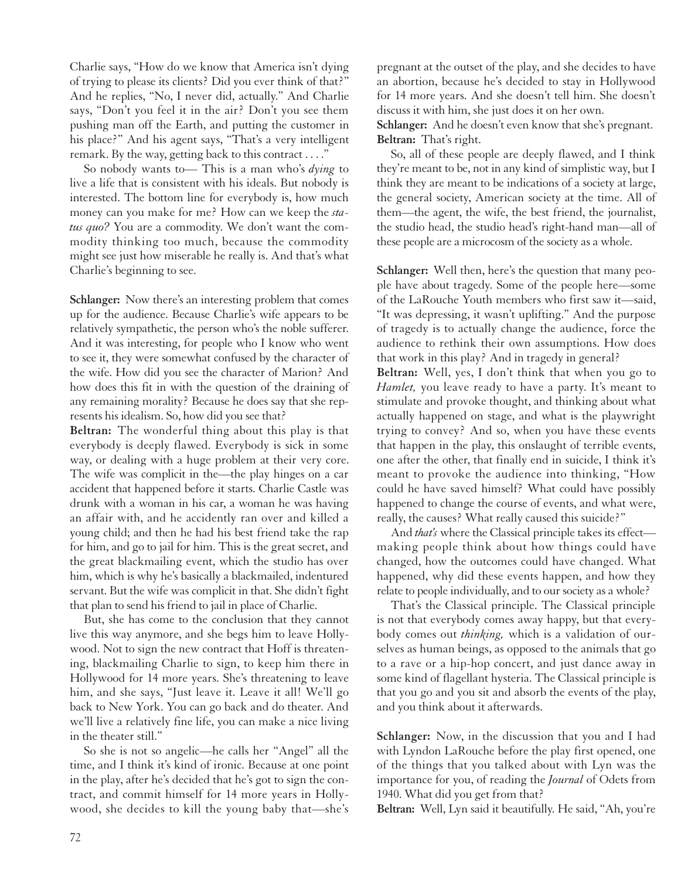Charlie says, "How do we know that America isn't dying of trying to please its clients? Did you ever think of that?" And he replies, "No, I never did, actually." And Charlie says, "Don't you feel it in the air? Don't you see them pushing man off the Earth, and putting the customer in his place?" And his agent says, "That's a very intelligent remark. By the way, getting back to this contract . . . ."

So nobody wants to— This is a man who's *dying* to live a life that is consistent with his ideals. But nobody is interested. The bottom line for everybody is, how much money can you make for me? How can we keep the *status quo?* You are a commodity. We don't want the commodity thinking too much, because the commodity might see just how miserable he really is. And that's what Charlie's beginning to see.

**Schlanger:** Now there's an interesting problem that comes up for the audience. Because Charlie's wife appears to be relatively sympathetic, the person who's the noble sufferer. And it was interesting, for people who I know who went to see it, they were somewhat confused by the character of the wife. How did you see the character of Marion? And how does this fit in with the question of the draining of any remaining morality? Because he does say that she represents his idealism. So, how did you see that?

**Beltran:** The wonderful thing about this play is that everybody is deeply flawed. Everybody is sick in some way, or dealing with a huge problem at their very core. The wife was complicit in the—the play hinges on a car accident that happened before it starts. Charlie Castle was drunk with a woman in his car, a woman he was having an affair with, and he accidently ran over and killed a young child; and then he had his best friend take the rap for him, and go to jail for him. This is the great secret, and the great blackmailing event, which the studio has over him, which is why he's basically a blackmailed, indentured servant. But the wife was complicit in that. She didn't fight that plan to send his friend to jail in place of Charlie.

But, she has come to the conclusion that they cannot live this way anymore, and she begs him to leave Hollywood. Not to sign the new contract that Hoff is threatening, blackmailing Charlie to sign, to keep him there in Hollywood for 14 more years. She's threatening to leave him, and she says, "Just leave it. Leave it all! We'll go back to New York. You can go back and do theater. And we'll live a relatively fine life, you can make a nice living in the theater still."

So she is not so angelic—he calls her "Angel" all the time, and I think it's kind of ironic. Because at one point in the play, after he's decided that he's got to sign the contract, and commit himself for 14 more years in Hollywood, she decides to kill the young baby that—she's

pregnant at the outset of the play, and she decides to have an abortion, because he's decided to stay in Hollywood for 14 more years. And she doesn't tell him. She doesn't discuss it with him, she just does it on her own.

**Schlanger:** And he doesn't even know that she's pregnant. **Beltran:** That's right.

So, all of these people are deeply flawed, and I think they're meant to be, not in any kind of simplistic way, but I think they are meant to be indications of a society at large, the general society, American society at the time. All of them—the agent, the wife, the best friend, the journalist, the studio head, the studio head's right-hand man—all of these people are a microcosm of the society as a whole.

**Schlanger:** Well then, here's the question that many people have about tragedy. Some of the people here—some of the LaRouche Youth members who first saw it—said, "It was depressing, it wasn't uplifting." And the purpose of tragedy is to actually change the audience, force the audience to rethink their own assumptions. How does that work in this play? And in tragedy in general?

**Beltran:** Well, yes, I don't think that when you go to *Hamlet,* you leave ready to have a party. It's meant to stimulate and provoke thought, and thinking about what actually happened on stage, and what is the playwright trying to convey? And so, when you have these events that happen in the play, this onslaught of terrible events, one after the other, that finally end in suicide, I think it's meant to provoke the audience into thinking, "How could he have saved himself? What could have possibly happened to change the course of events, and what were, really, the causes? What really caused this suicide?"

And *that's* where the Classical principle takes its effect making people think about how things could have changed, how the outcomes could have changed. What happened, why did these events happen, and how they relate to people individually, and to our society as a whole?

That's the Classical principle. The Classical principle is not that everybody comes away happy, but that everybody comes out *thinking,* which is a validation of ourselves as human beings, as opposed to the animals that go to a rave or a hip-hop concert, and just dance away in some kind of flagellant hysteria. The Classical principle is that you go and you sit and absorb the events of the play, and you think about it afterwards.

**Schlanger:** Now, in the discussion that you and I had with Lyndon LaRouche before the play first opened, one of the things that you talked about with Lyn was the importance for you, of reading the *Journal* of Odets from 1940. What did you get from that?

**Beltran:** Well, Lyn said it beautifully. He said, "Ah, you're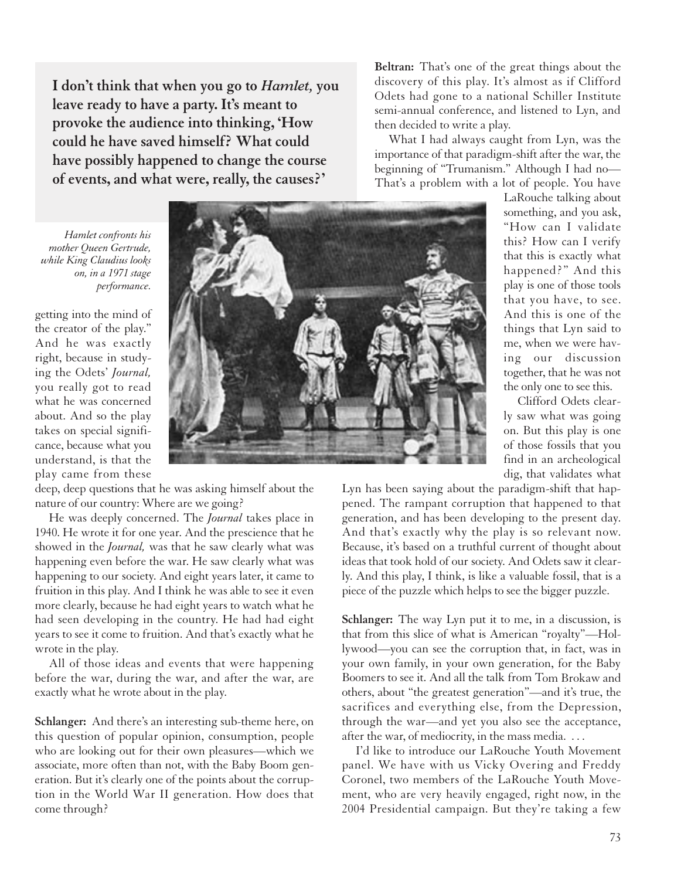**I don't think that when you go to** *Hamlet,* **you leave ready to have a party. It's meant to provoke the audience into thinking, 'How could he have saved himself? What could have possibly happened to change the course of events, and what were, really, the causes?'**

*Hamlet confronts his mother Queen Gertrude, while King Claudius looks on, in a 1971 stage performance.*

getting into the mind of the creator of the play." And he was exactly right, because in studying the Odets' *Journal,* you really got to read what he was concerned about. And so the play takes on special significance, because what you understand, is that the play came from these



deep, deep questions that he was asking himself about the nature of our country: Where are we going?

He was deeply concerned. The *Journal* takes place in 1940. He wrote it for one year. And the prescience that he showed in the *Journal,* was that he saw clearly what was happening even before the war. He saw clearly what was happening to our society. And eight years later, it came to fruition in this play. And I think he was able to see it even more clearly, because he had eight years to watch what he had seen developing in the country. He had had eight years to see it come to fruition. And that's exactly what he wrote in the play.

All of those ideas and events that were happening before the war, during the war, and after the war, are exactly what he wrote about in the play.

**Schlanger:** And there's an interesting sub-theme here, on this question of popular opinion, consumption, people who are looking out for their own pleasures—which we associate, more often than not, with the Baby Boom generation. But it's clearly one of the points about the corruption in the World War II generation. How does that come through?

**Beltran:** That's one of the great things about the discovery of this play. It's almost as if Clifford Odets had gone to a national Schiller Institute semi-annual conference, and listened to Lyn, and then decided to write a play.

What I had always caught from Lyn, was the importance of that paradigm-shift after the war, the beginning of "Trumanism." Although I had no— That's a problem with a lot of people. You have

> LaRouche talking about something, and you ask, "How can I validate this? How can I verify that this is exactly what happened?" And this play is one of those tools that you have, to see. And this is one of the things that Lyn said to me, when we were having our discussion together, that he was not the only one to see this.

> Clifford Odets clearly saw what was going on. But this play is one of those fossils that you find in an archeological dig, that validates what

Lyn has been saying about the paradigm-shift that happened. The rampant corruption that happened to that generation, and has been developing to the present day. And that's exactly why the play is so relevant now. Because, it's based on a truthful current of thought about ideas that took hold of our society. And Odets saw it clearly. And this play, I think, is like a valuable fossil, that is a piece of the puzzle which helps to see the bigger puzzle.

**Schlanger:** The way Lyn put it to me, in a discussion, is that from this slice of what is American "royalty"—Hollywood—you can see the corruption that, in fact, was in your own family, in your own generation, for the Baby Boomers to see it. And all the talk from Tom Brokaw and others, about "the greatest generation"—and it's true, the sacrifices and everything else, from the Depression, through the war—and yet you also see the acceptance, after the war, of mediocrity, in the mass media. ...

I'd like to introduce our LaRouche Youth Movement panel. We have with us Vicky Overing and Freddy Coronel, two members of the LaRouche Youth Movement, who are very heavily engaged, right now, in the 2004 Presidential campaign. But they're taking a few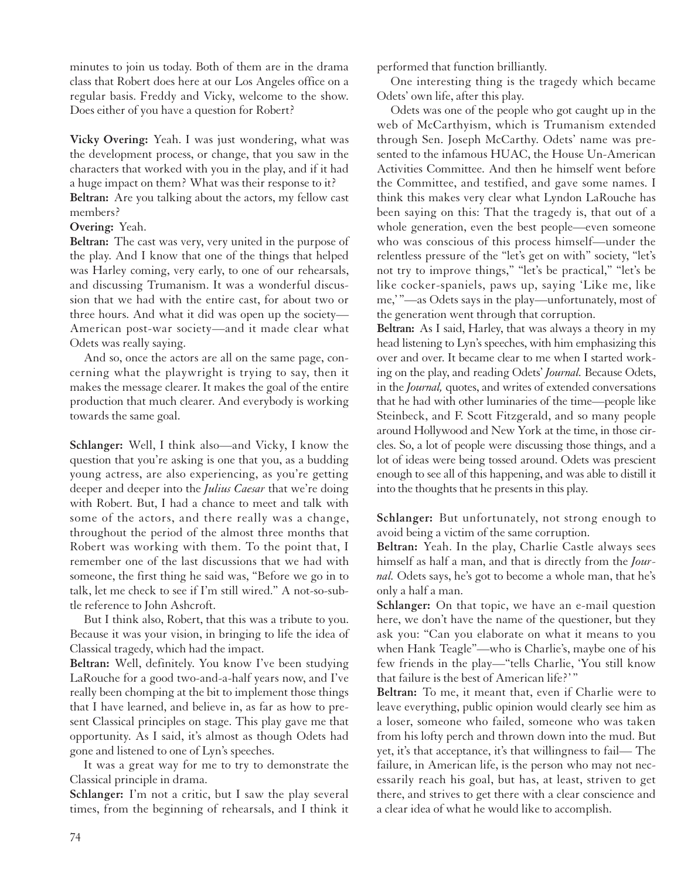minutes to join us today. Both of them are in the drama class that Robert does here at our Los Angeles office on a regular basis. Freddy and Vicky, welcome to the show. Does either of you have a question for Robert?

**Vicky Overing:** Yeah. I was just wondering, what was the development process, or change, that you saw in the characters that worked with you in the play, and if it had a huge impact on them? What was their response to it? **Beltran:** Are you talking about the actors, my fellow cast members?

### **Overing:** Yeah.

**Beltran:** The cast was very, very united in the purpose of the play. And I know that one of the things that helped was Harley coming, very early, to one of our rehearsals, and discussing Trumanism. It was a wonderful discussion that we had with the entire cast, for about two or three hours. And what it did was open up the society— American post-war society—and it made clear what Odets was really saying.

And so, once the actors are all on the same page, concerning what the playwright is trying to say, then it makes the message clearer. It makes the goal of the entire production that much clearer. And everybody is working towards the same goal.

**Schlanger:** Well, I think also—and Vicky, I know the question that you're asking is one that you, as a budding young actress, are also experiencing, as you're getting deeper and deeper into the *Julius Caesar* that we're doing with Robert. But, I had a chance to meet and talk with some of the actors, and there really was a change, throughout the period of the almost three months that Robert was working with them. To the point that, I remember one of the last discussions that we had with someone, the first thing he said was, "Before we go in to talk, let me check to see if I'm still wired." A not-so-subtle reference to John Ashcroft.

But I think also, Robert, that this was a tribute to you. Because it was your vision, in bringing to life the idea of Classical tragedy, which had the impact.

**Beltran:** Well, definitely. You know I've been studying LaRouche for a good two-and-a-half years now, and I've really been chomping at the bit to implement those things that I have learned, and believe in, as far as how to present Classical principles on stage. This play gave me that opportunity. As I said, it's almost as though Odets had gone and listened to one of Lyn's speeches.

It was a great way for me to try to demonstrate the Classical principle in drama.

**Schlanger:** I'm not a critic, but I saw the play several times, from the beginning of rehearsals, and I think it performed that function brilliantly.

One interesting thing is the tragedy which became Odets' own life, after this play.

Odets was one of the people who got caught up in the web of McCarthyism, which is Trumanism extended through Sen. Joseph McCarthy. Odets' name was presented to the infamous HUAC, the House Un-American Activities Committee. And then he himself went before the Committee, and testified, and gave some names. I think this makes very clear what Lyndon LaRouche has been saying on this: That the tragedy is, that out of a whole generation, even the best people—even someone who was conscious of this process himself—under the relentless pressure of the "let's get on with" society, "let's not try to improve things," "let's be practical," "let's be like cocker-spaniels, paws up, saying 'Like me, like me,' "—as Odets says in the play—unfortunately, most of the generation went through that corruption.

**Beltran:** As I said, Harley, that was always a theory in my head listening to Lyn's speeches, with him emphasizing this over and over. It became clear to me when I started working on the play, and reading Odets' *Journal.* Because Odets, in the *Journal,* quotes, and writes of extended conversations that he had with other luminaries of the time—people like Steinbeck, and F. Scott Fitzgerald, and so many people around Hollywood and New York at the time, in those circles. So, a lot of people were discussing those things, and a lot of ideas were being tossed around. Odets was prescient enough to see all of this happening, and was able to distill it into the thoughts that he presents in this play.

**Schlanger:** But unfortunately, not strong enough to avoid being a victim of the same corruption.

**Beltran:** Yeah. In the play, Charlie Castle always sees himself as half a man, and that is directly from the *Journal.* Odets says, he's got to become a whole man, that he's only a half a man.

**Schlanger:** On that topic, we have an e-mail question here, we don't have the name of the questioner, but they ask you: "Can you elaborate on what it means to you when Hank Teagle"—who is Charlie's, maybe one of his few friends in the play—"tells Charlie, 'You still know that failure is the best of American life?' "

**Beltran:** To me, it meant that, even if Charlie were to leave everything, public opinion would clearly see him as a loser, someone who failed, someone who was taken from his lofty perch and thrown down into the mud. But yet, it's that acceptance, it's that willingness to fail— The failure, in American life, is the person who may not necessarily reach his goal, but has, at least, striven to get there, and strives to get there with a clear conscience and a clear idea of what he would like to accomplish.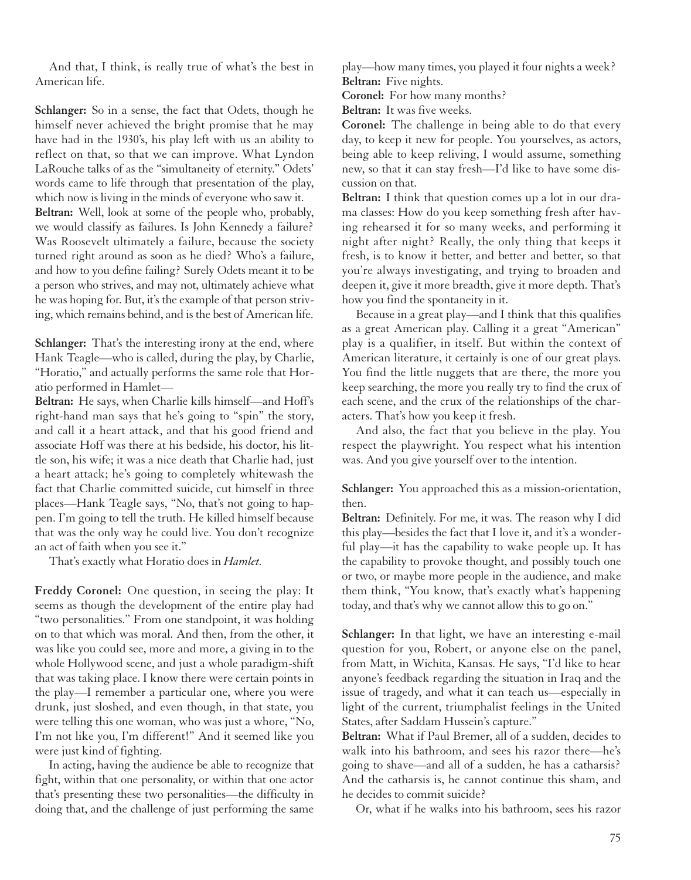And that, I think, is really true of what's the best in American life.

**Schlanger:** So in a sense, the fact that Odets, though he himself never achieved the bright promise that he may have had in the 1930's, his play left with us an ability to reflect on that, so that we can improve. What Lyndon LaRouche talks of as the "simultaneity of eternity." Odets' words came to life through that presentation of the play, which now is living in the minds of everyone who saw it.

**Beltran:** Well, look at some of the people who, probably, we would classify as failures. Is John Kennedy a failure? Was Roosevelt ultimately a failure, because the society turned right around as soon as he died? Who's a failure, and how to you define failing? Surely Odets meant it to be a person who strives, and may not, ultimately achieve what he was hoping for. But, it's the example of that person striving, which remains behind, and is the best of American life.

**Schlanger:** That's the interesting irony at the end, where Hank Teagle—who is called, during the play, by Charlie, "Horatio," and actually performs the same role that Horatio performed in Hamlet—

**Beltran:** He says, when Charlie kills himself—and Hoff's right-hand man says that he's going to "spin" the story, and call it a heart attack, and that his good friend and associate Hoff was there at his bedside, his doctor, his little son, his wife; it was a nice death that Charlie had, just a heart attack; he's going to completely whitewash the fact that Charlie committed suicide, cut himself in three places—Hank Teagle says, "No, that's not going to happen. I'm going to tell the truth. He killed himself because that was the only way he could live. You don't recognize an act of faith when you see it."

That's exactly what Horatio does in *Hamlet.*

**Freddy Coronel:** One question, in seeing the play: It seems as though the development of the entire play had "two personalities." From one standpoint, it was holding on to that which was moral. And then, from the other, it was like you could see, more and more, a giving in to the whole Hollywood scene, and just a whole paradigm-shift that was taking place. I know there were certain points in the play—I remember a particular one, where you were drunk, just sloshed, and even though, in that state, you were telling this one woman, who was just a whore, "No, I'm not like you, I'm different!" And it seemed like you were just kind of fighting.

In acting, having the audience be able to recognize that fight, within that one personality, or within that one actor that's presenting these two personalities—the difficulty in doing that, and the challenge of just performing the same play—how many times, you played it four nights a week? **Beltran:** Five nights.

**Coronel:** For how many months?

**Beltran:** It was five weeks.

**Coronel:** The challenge in being able to do that every day, to keep it new for people. You yourselves, as actors, being able to keep reliving, I would assume, something new, so that it can stay fresh—I'd like to have some discussion on that.

**Beltran:** I think that question comes up a lot in our drama classes: How do you keep something fresh after having rehearsed it for so many weeks, and performing it night after night? Really, the only thing that keeps it fresh, is to know it better, and better and better, so that you're always investigating, and trying to broaden and deepen it, give it more breadth, give it more depth. That's how you find the spontaneity in it.

Because in a great play—and I think that this qualifies as a great American play. Calling it a great "American" play is a qualifier, in itself. But within the context of American literature, it certainly is one of our great plays. You find the little nuggets that are there, the more you keep searching, the more you really try to find the crux of each scene, and the crux of the relationships of the characters. That's how you keep it fresh.

And also, the fact that you believe in the play. You respect the playwright. You respect what his intention was. And you give yourself over to the intention.

**Schlanger:** You approached this as a mission-orientation, then.

**Beltran:** Definitely. For me, it was. The reason why I did this play—besides the fact that I love it, and it's a wonderful play—it has the capability to wake people up. It has the capability to provoke thought, and possibly touch one or two, or maybe more people in the audience, and make them think, "You know, that's exactly what's happening today, and that's why we cannot allow this to go on."

**Schlanger:** In that light, we have an interesting e-mail question for you, Robert, or anyone else on the panel, from Matt, in Wichita, Kansas. He says, "I'd like to hear anyone's feedback regarding the situation in Iraq and the issue of tragedy, and what it can teach us—especially in light of the current, triumphalist feelings in the United States, after Saddam Hussein's capture."

**Beltran:** What if Paul Bremer, all of a sudden, decides to walk into his bathroom, and sees his razor there—he's going to shave—and all of a sudden, he has a catharsis? And the catharsis is, he cannot continue this sham, and he decides to commit suicide?

Or, what if he walks into his bathroom, sees his razor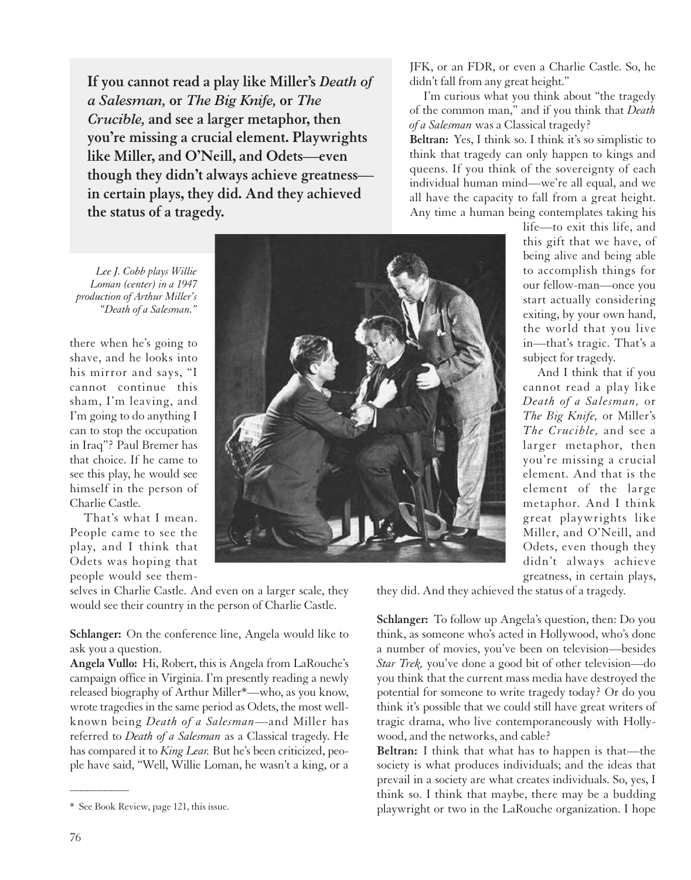**If you cannot read a play like Miller's** *Death of a Salesman,* **or** *The Big Knife,* **or** *The Crucible,* **and see a larger metaphor, then you're missing a crucial element. Playwrights like Miller, and O'Neill, and Odets—even though they didn't always achieve greatness in certain plays, they did. And they achieved the status of a tragedy.**

JFK, or an FDR, or even a Charlie Castle. So, he didn't fall from any great height."

I'm curious what you think about "the tragedy of the common man," and if you think that *Death of a Salesman* was a Classical tragedy?

**Beltran:** Yes, I think so. I think it's so simplistic to think that tragedy can only happen to kings and queens. If you think of the sovereignty of each individual human mind—we're all equal, and we all have the capacity to fall from a great height. Any time a human being contemplates taking his

*Lee J. Cobb plays Willie Loman (center) in a 1947 production of Arthur Miller's "Death of a Salesman."*

there when he's going to shave, and he looks into his mirror and says, "I cannot continue this sham, I'm leaving, and I'm going to do anything I can to stop the occupation in Iraq"? Paul Bremer has that choice. If he came to see this play, he would see himself in the person of Charlie Castle.

That's what I mean. People came to see the play, and I think that Odets was hoping that people would see them-

selves in Charlie Castle. And even on a larger scale, they would see their country in the person of Charlie Castle.

**Schlanger:** On the conference line, Angela would like to ask you a question.

**Angela Vullo:** Hi, Robert, this is Angela from LaRouche's campaign office in Virginia. I'm presently reading a newly released biography of Arthur Miller\*—who, as you know, wrote tragedies in the same period as Odets, the most wellknown being *Death of a Salesman*—and Miller has referred to *Death of a Salesman* as a Classical tragedy. He has compared it to *King Lear.* But he's been criticized, people have said, "Well, Willie Loman, he wasn't a king, or a

life—to exit this life, and this gift that we have, of being alive and being able to accomplish things for our fellow-man—once you start actually considering exiting, by your own hand, the world that you live in—that's tragic. That's a subject for tragedy.

And I think that if you cannot read a play like *Death of a Salesman,* or *The Big Knife,* or Miller's *The Crucible,* and see a larger metaphor, then you're missing a crucial element. And that is the element of the large metaphor. And I think great playwrights like Miller, and O'Neill, and Odets, even though they didn't always achieve greatness, in certain plays,

they did. And they achieved the status of a tragedy.

**Schlanger:** To follow up Angela's question, then: Do you think, as someone who's acted in Hollywood, who's done a number of movies, you've been on television—besides *Star Trek,* you've done a good bit of other television—do you think that the current mass media have destroyed the potential for someone to write tragedy today? Or do you think it's possible that we could still have great writers of tragic drama, who live contemporaneously with Hollywood, and the networks, and cable?

**Beltran:** I think that what has to happen is that—the society is what produces individuals; and the ideas that prevail in a society are what creates individuals. So, yes, I think so. I think that maybe, there may be a budding playwright or two in the LaRouche organization. I hope

––––––––––



<sup>\*</sup> See Book Review, page 121, this issue.